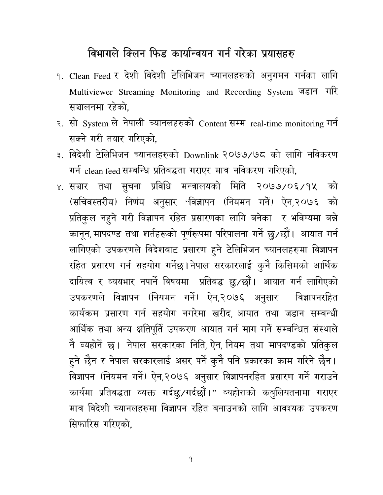## विभागले क्लिन फिड कार्यान्वयन गर्न गरेका प्रयासहरु

- १. Clean Feed र देशी विदेशी टेलिभिजन च्यानलहरुको अनुगमन गर्नका लागि Multiviewer Streaming Monitoring and Recording System जड़ान गरि सञ्चालनमा रहेको.
- २. सो System ले नेपाली च्यानलहरुको Content सम्म real-time monitoring गर्न सक्ने गरी तयार गरिएको,
- ३. विदेशी टेलिभिजन च्यानलहरुको Downlink २०७७/७८ को लागि नविकरण गर्न clean feed सम्बन्धि प्रतिबद्धता गराएर मात्र नविकरण गरिएको,
- ४. सञ्चार तथा सुचना प्रविधि मन्त्रालयको मिति २०७७/०६/१५ को (सचिवस्तरीय) निर्णय अनुसार 'विज्ञापन (नियमन गर्न) ऐन,२०७६ को प्रतिकुल नहुने गरी विज्ञापन रहित प्रसारणका लागि बनेका र भविष्यमा बन्ने कानून, मापदण्ड तथा शर्तहरूको पूर्णरूपमा परिपालना गर्ने छु/छौं। आयात गर्न लागिएको उपकरणले विदेशबाट प्रसारण हुने टेलिभिजन च्यानलहरुमा विज्ञापन रहित प्रसारण गर्न सहयोग गर्नेछ। नेपाल सरकारलाई कुनै किसिमको आर्थिक दायित्व र व्ययभार नपाने विषयमा प्रतिबद्ध छु⁄छों। आयात गर्न लागिएको उपकरणले विज्ञापन (नियमन गर्न) ऐन,२०७६ अनुसार वि विज्ञापनरहित कार्यक्रम प्रसारण गर्न सहयोग नगरेमा खरीद, आयात तथा जडान सम्बन्धी आर्थिक तथा अन्य क्षतिपूर्ति उपकरण आयात गर्न माग गर्ने सम्बन्धित संस्थाले नै व्यहोर्ने छ। नेपाल सरकारका निति, ऐन, नियम तथा मापदण्डको प्रतिकुल हुने छैन र नेपाल सरकारलाई असर पर्ने कुनै पनि प्रकारका काम गरिने छैन। विज्ञापन (नियमन गर्न) ऐन,२०७६ अनुसार विज्ञापनरहित प्रसारण गर्न गराउने कार्यमा प्रतिबद्धता व्यक्त गर्दछु/गर्दछौं।" व्यहोराको कबुलियतनामा गराएर मात्र विदेशी च्यानलहरुमा विज्ञापन रहित बनाउनको लागि आवश्यक उपकरण सिफारिस गरिएको.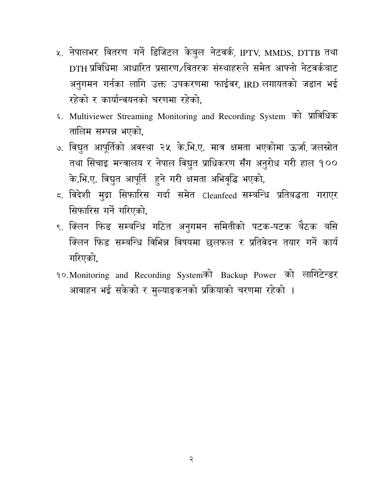- ५. नेपालभर वितरण गर्ने डिजिटल केबुल नेटवर्क, IPTV, MMDS, DTTB तथा DTH प्रविधिमा आधारित प्रसारण ∕वितरक संस्थाहरुले समेत आफ्नो नेटवर्कबाट अनुगमन गर्नका लागि उक्त उपकरणमा फाईवर, IRD लगायतको जडान भई रहेको र कार्यान्वयनको चरणमा रहेको.
- ६. Multiviewer Streaming Monitoring and Recording System को प्राविधिक तालिम सम्पन्न भएको.
- ७. विद्युत आपूर्तिको अवस्था २५ के.भि.ए. मात्र क्षमता भएकोमा ऊर्जा, जलस्रोत तथा सिंचाइ मन्त्रालय र नेपाल विद्युत प्राधिकरण सँग अनुरोध गरी हाल १०० के.भि.ए. विद्युत आपूर्ति हुने गरी क्षमता अभिवृद्धि भएको,
- ८. विदेशी मुद्रा सिफारिस गर्दा समेत Cleanfeed सम्बन्धि प्रतिबद्धता गराएर सिफारिस गर्ने गरिएको.
- ९. क्लिन फिड सम्बन्धि गठित अनुगमन समितीको पटक-पटक बैठक बसि क्लिन फिड सम्बन्धि विभिन्न विषयमा छलफल र प्रतिवेदन तयार गर्ने कार्य गरिएको.
- १०. Monitoring and Recording Systemको Backup Power को लागिटेन्डर आवाहन भई सकेको र मुल्याङकनको प्रकियाको चरणमा रहेको ।